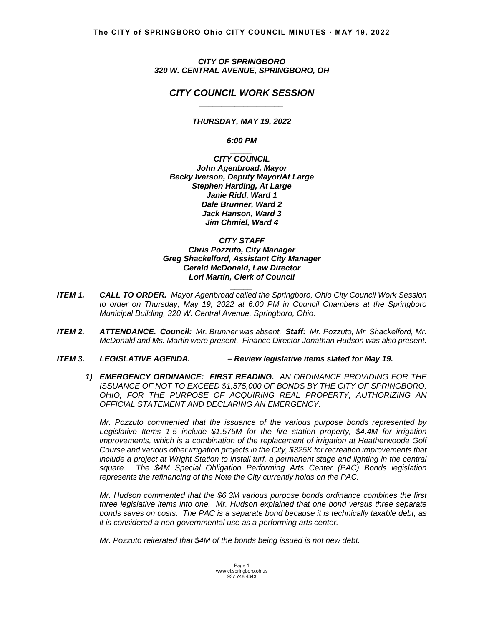*CITY OF SPRINGBORO 320 W. CENTRAL AVENUE, SPRINGBORO, OH* 

# *CITY COUNCIL WORK SESSION \_\_\_\_\_\_\_\_\_\_\_\_\_\_\_\_\_\_\_*

*THURSDAY, MAY 19, 2022* 

*6:00 PM* 

*\_\_\_\_\_ CITY COUNCIL John Agenbroad, Mayor Becky Iverson, Deputy Mayor/At Large Stephen Harding, At Large Janie Ridd, Ward 1 Dale Brunner, Ward 2 Jack Hanson, Ward 3 Jim Chmiel, Ward 4* 

*\_\_\_\_\_ CITY STAFF Chris Pozzuto, City Manager Greg Shackelford, Assistant City Manager Gerald McDonald, Law Director Lori Martin, Clerk of Council* 

*ITEM 1. CALL TO ORDER. Mayor Agenbroad called the Springboro, Ohio City Council Work Session to order on Thursday, May 19, 2022 at 6:00 PM in Council Chambers at the Springboro Municipal Building, 320 W. Central Avenue, Springboro, Ohio.*

*\_\_\_\_\_*

- *ITEM 2. ATTENDANCE. Council: Mr. Brunner was absent. Staff: Mr. Pozzuto, Mr. Shackelford, Mr. McDonald and Ms. Martin were present. Finance Director Jonathan Hudson was also present.*
- *ITEM 3. LEGISLATIVE AGENDA. Review legislative items slated for May 19.* 
	- *1) EMERGENCY ORDINANCE: FIRST READING. AN ORDINANCE PROVIDING FOR THE ISSUANCE OF NOT TO EXCEED \$1,575,000 OF BONDS BY THE CITY OF SPRINGBORO, OHIO, FOR THE PURPOSE OF ACQUIRING REAL PROPERTY, AUTHORIZING AN OFFICIAL STATEMENT AND DECLARING AN EMERGENCY.*

*Mr. Pozzuto commented that the issuance of the various purpose bonds represented by Legislative Items 1-5 include \$1.575M for the fire station property, \$4.4M for irrigation improvements, which is a combination of the replacement of irrigation at Heatherwoode Golf Course and various other irrigation projects in the City, \$325K for recreation improvements that include a project at Wright Station to install turf, a permanent stage and lighting in the central square. The \$4M Special Obligation Performing Arts Center (PAC) Bonds legislation represents the refinancing of the Note the City currently holds on the PAC.* 

 *Mr. Hudson commented that the \$6.3M various purpose bonds ordinance combines the first three legislative items into one. Mr. Hudson explained that one bond versus three separate bonds saves on costs. The PAC is a separate bond because it is technically taxable debt, as it is considered a non-governmental use as a performing arts center.* 

*Mr. Pozzuto reiterated that \$4M of the bonds being issued is not new debt.*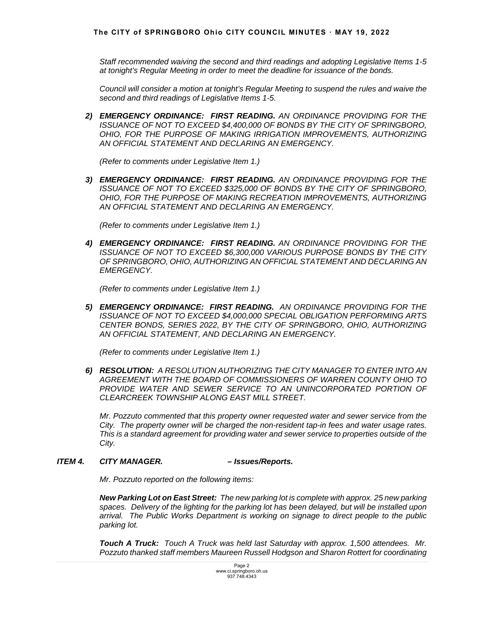*Staff recommended waiving the second and third readings and adopting Legislative Items 1-5 at tonight's Regular Meeting in order to meet the deadline for issuance of the bonds.* 

 *Council will consider a motion at tonight's Regular Meeting to suspend the rules and waive the second and third readings of Legislative Items 1-5.*

*2) EMERGENCY ORDINANCE: FIRST READING. AN ORDINANCE PROVIDING FOR THE ISSUANCE OF NOT TO EXCEED \$4,400,000 OF BONDS BY THE CITY OF SPRINGBORO, OHIO, FOR THE PURPOSE OF MAKING IRRIGATION IMPROVEMENTS, AUTHORIZING AN OFFICIAL STATEMENT AND DECLARING AN EMERGENCY.* 

*(Refer to comments under Legislative Item 1.)* 

*3) EMERGENCY ORDINANCE: FIRST READING. AN ORDINANCE PROVIDING FOR THE ISSUANCE OF NOT TO EXCEED \$325,000 OF BONDS BY THE CITY OF SPRINGBORO, OHIO, FOR THE PURPOSE OF MAKING RECREATION IMPROVEMENTS, AUTHORIZING AN OFFICIAL STATEMENT AND DECLARING AN EMERGENCY.*

*(Refer to comments under Legislative Item 1.)*

*4) EMERGENCY ORDINANCE: FIRST READING. AN ORDINANCE PROVIDING FOR THE ISSUANCE OF NOT TO EXCEED \$6,300,000 VARIOUS PURPOSE BONDS BY THE CITY OF SPRINGBORO, OHIO, AUTHORIZING AN OFFICIAL STATEMENT AND DECLARING AN EMERGENCY.* 

*(Refer to comments under Legislative Item 1.)* 

*5) EMERGENCY ORDINANCE: FIRST READING. AN ORDINANCE PROVIDING FOR THE ISSUANCE OF NOT TO EXCEED \$4,000,000 SPECIAL OBLIGATION PERFORMING ARTS CENTER BONDS, SERIES 2022, BY THE CITY OF SPRINGBORO, OHIO, AUTHORIZING AN OFFICIAL STATEMENT, AND DECLARING AN EMERGENCY.* 

*(Refer to comments under Legislative Item 1.)*

*6) RESOLUTION: A RESOLUTION AUTHORIZING THE CITY MANAGER TO ENTER INTO AN AGREEMENT WITH THE BOARD OF COMMISSIONERS OF WARREN COUNTY OHIO TO*  **PROVIDE WATER AND SEWER SERVICE TO AN UNINCORPORATED PORTION OF** *CLEARCREEK TOWNSHIP ALONG EAST MILL STREET.* 

*Mr. Pozzuto commented that this property owner requested water and sewer service from the City. The property owner will be charged the non-resident tap-in fees and water usage rates. This is a standard agreement for providing water and sewer service to properties outside of the City.* 

# *ITEM 4. CITY MANAGER. – Issues/Reports.*

 *Mr. Pozzuto reported on the following items:* 

*New Parking Lot on East Street: The new parking lot is complete with approx. 25 new parking spaces. Delivery of the lighting for the parking lot has been delayed, but will be installed upon arrival. The Public Works Department is working on signage to direct people to the public parking lot.* 

 *Touch A Truck: Touch A Truck was held last Saturday with approx. 1,500 attendees. Mr. Pozzuto thanked staff members Maureen Russell Hodgson and Sharon Rottert for coordinating*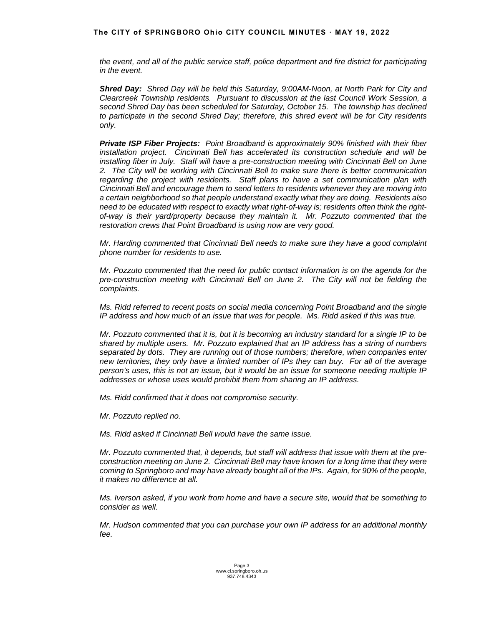### **The CITY of SPRINGBORO Ohio CITY COUNCIL MINUTES ꞏ MAY 19, 2022**

*the event, and all of the public service staff, police department and fire district for participating in the event.* 

*Shred Day: Shred Day will be held this Saturday, 9:00AM-Noon, at North Park for City and Clearcreek Township residents. Pursuant to discussion at the last Council Work Session, a second Shred Day has been scheduled for Saturday, October 15. The township has declined to participate in the second Shred Day; therefore, this shred event will be for City residents only.* 

*Private ISP Fiber Projects: Point Broadband is approximately 90% finished with their fiber installation project. Cincinnati Bell has accelerated its construction schedule and will be installing fiber in July. Staff will have a pre-construction meeting with Cincinnati Bell on June 2. The City will be working with Cincinnati Bell to make sure there is better communication regarding the project with residents. Staff plans to have a set communication plan with Cincinnati Bell and encourage them to send letters to residents whenever they are moving into a certain neighborhood so that people understand exactly what they are doing. Residents also need to be educated with respect to exactly what right-of-way is; residents often think the rightof-way is their yard/property because they maintain it. Mr. Pozzuto commented that the restoration crews that Point Broadband is using now are very good.* 

 *Mr. Harding commented that Cincinnati Bell needs to make sure they have a good complaint phone number for residents to use.* 

 *Mr. Pozzuto commented that the need for public contact information is on the agenda for the pre-construction meeting with Cincinnati Bell on June 2. The City will not be fielding the complaints.* 

 *Ms. Ridd referred to recent posts on social media concerning Point Broadband and the single IP address and how much of an issue that was for people. Ms. Ridd asked if this was true.* 

 *Mr. Pozzuto commented that it is, but it is becoming an industry standard for a single IP to be shared by multiple users. Mr. Pozzuto explained that an IP address has a string of numbers separated by dots. They are running out of those numbers; therefore, when companies enter new territories, they only have a limited number of IPs they can buy. For all of the average person's uses, this is not an issue, but it would be an issue for someone needing multiple IP addresses or whose uses would prohibit them from sharing an IP address.* 

 *Ms. Ridd confirmed that it does not compromise security.* 

 *Mr. Pozzuto replied no.* 

 *Ms. Ridd asked if Cincinnati Bell would have the same issue.* 

 *Mr. Pozzuto commented that, it depends, but staff will address that issue with them at the preconstruction meeting on June 2. Cincinnati Bell may have known for a long time that they were coming to Springboro and may have already bought all of the IPs. Again, for 90% of the people, it makes no difference at all.* 

 *Ms. Iverson asked, if you work from home and have a secure site, would that be something to consider as well.* 

 *Mr. Hudson commented that you can purchase your own IP address for an additional monthly fee.*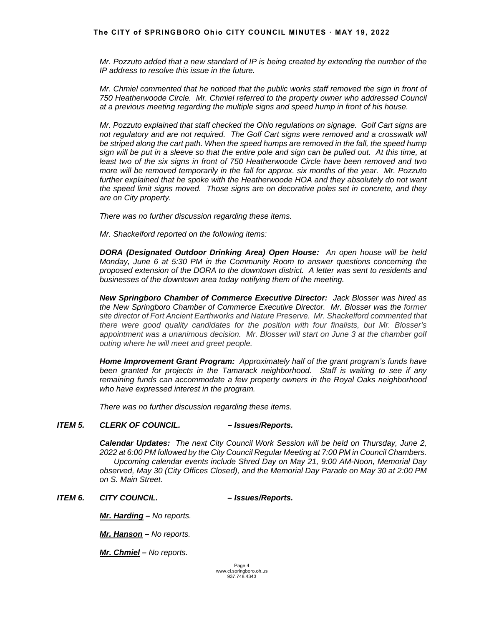*Mr. Pozzuto added that a new standard of IP is being created by extending the number of the IP address to resolve this issue in the future.* 

 *Mr. Chmiel commented that he noticed that the public works staff removed the sign in front of 750 Heatherwoode Circle. Mr. Chmiel referred to the property owner who addressed Council at a previous meeting regarding the multiple signs and speed hump in front of his house.* 

 *Mr. Pozzuto explained that staff checked the Ohio regulations on signage. Golf Cart signs are*  not regulatory and are not required. The Golf Cart signs were removed and a crosswalk will *be striped along the cart path. When the speed humps are removed in the fall, the speed hump sign will be put in a sleeve so that the entire pole and sign can be pulled out. At this time, at least two of the six signs in front of 750 Heatherwoode Circle have been removed and two more will be removed temporarily in the fall for approx. six months of the year. Mr. Pozzuto*  further explained that he spoke with the Heatherwoode HOA and they absolutely do not want *the speed limit signs moved. Those signs are on decorative poles set in concrete, and they are on City property.* 

 *There was no further discussion regarding these items.* 

*Mr. Shackelford reported on the following items:* 

*DORA (Designated Outdoor Drinking Area) Open House: An open house will be held Monday, June 6 at 5:30 PM in the Community Room to answer questions concerning the proposed extension of the DORA to the downtown district. A letter was sent to residents and businesses of the downtown area today notifying them of the meeting.* 

*New Springboro Chamber of Commerce Executive Director: Jack Blosser was hired as the New Springboro Chamber of Commerce Executive Director. Mr. Blosser was the former site director of Fort Ancient Earthworks and Nature Preserve. Mr. Shackelford commented that there were good quality candidates for the position with four finalists, but Mr. Blosser's*  appointment was a unanimous decision. Mr. Blosser will start on June 3 at the chamber golf *outing where he will meet and greet people.*

 *Home Improvement Grant Program: Approximately half of the grant program's funds have been granted for projects in the Tamarack neighborhood. Staff is waiting to see if any remaining funds can accommodate a few property owners in the Royal Oaks neighborhood who have expressed interest in the program.*

*There was no further discussion regarding these items.* 

### *ITEM 5. CLERK OF COUNCIL. – Issues/Reports.*

 *Calendar Updates: The next City Council Work Session will be held on Thursday, June 2, 2022 at 6:00 PM followed by the City Council Regular Meeting at 7:00 PM in Council Chambers. Upcoming calendar events include Shred Day on May 21, 9:00 AM-Noon, Memorial Day observed, May 30 (City Offices Closed), and the Memorial Day Parade on May 30 at 2:00 PM on S. Main Street.* 

### *ITEM 6. CITY COUNCIL. – Issues/Reports.*

*Mr. Harding – No reports.* 

*Mr. Hanson – No reports.* 

*Mr. Chmiel – No reports.*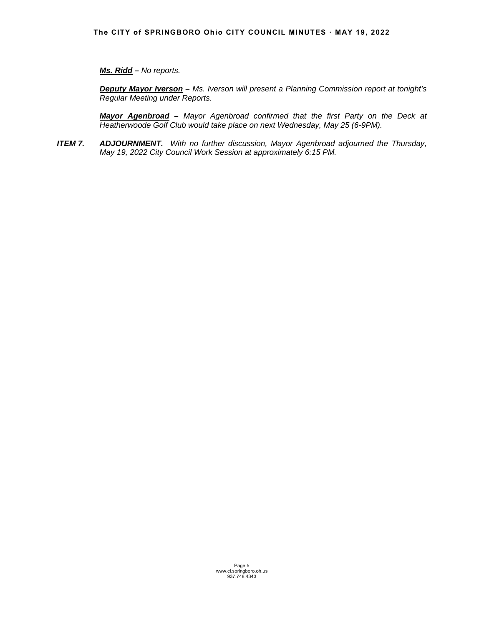# *Ms. Ridd – No reports.*

*Deputy Mayor Iverson – Ms. Iverson will present a Planning Commission report at tonight's Regular Meeting under Reports.* 

*Mayor Agenbroad – Mayor Agenbroad confirmed that the first Party on the Deck at Heatherwoode Golf Club would take place on next Wednesday, May 25 (6-9PM).* 

*ITEM 7. ADJOURNMENT. With no further discussion, Mayor Agenbroad adjourned the Thursday, May 19, 2022 City Council Work Session at approximately 6:15 PM.*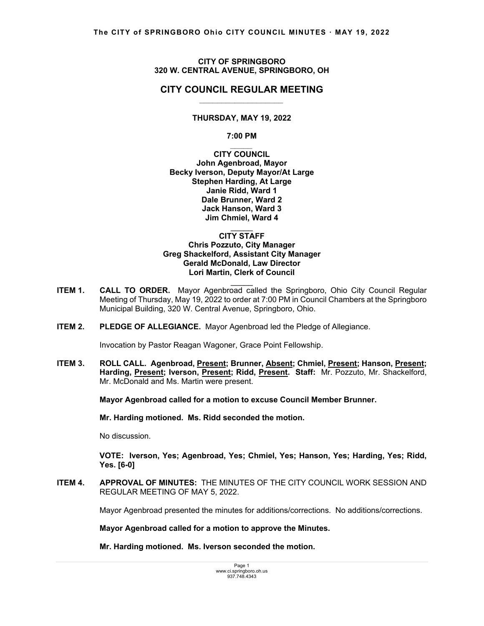### **CITY OF SPRINGBORO 320 W. CENTRAL AVENUE, SPRINGBORO, OH**

# **CITY COUNCIL REGULAR MEETING** *\_\_\_\_\_\_\_\_\_\_\_\_\_\_\_\_\_\_\_*

### **THURSDAY, MAY 19, 2022**

**7:00 PM**  *\_\_\_\_\_*

**CITY COUNCIL John Agenbroad, Mayor Becky Iverson, Deputy Mayor/At Large Stephen Harding, At Large Janie Ridd, Ward 1 Dale Brunner, Ward 2 Jack Hanson, Ward 3 Jim Chmiel, Ward 4** 

#### $\mathcal{L}=\mathcal{L}$ **CITY STAFF Chris Pozzuto, City Manager Greg Shackelford, Assistant City Manager Gerald McDonald, Law Director Lori Martin, Clerk of Council**

**ITEM 1. CALL TO ORDER.** Mayor Agenbroad called the Springboro, Ohio City Council Regular Meeting of Thursday, May 19, 2022 to order at 7:00 PM in Council Chambers at the Springboro Municipal Building, 320 W. Central Avenue, Springboro, Ohio.

 $\mathcal{L}=\mathcal{L}$ 

**ITEM 2. PLEDGE OF ALLEGIANCE.** Mayor Agenbroad led the Pledge of Allegiance.

Invocation by Pastor Reagan Wagoner, Grace Point Fellowship.

ITEM 3. ROLL CALL. Agenbroad, Present; Brunner, Absent; Chmiel, Present; Hanson, Present; Harding, Present; Iverson, Present; Ridd, Present. Staff: Mr. Pozzuto, Mr. Shackelford, Mr. McDonald and Ms. Martin were present.

 **Mayor Agenbroad called for a motion to excuse Council Member Brunner.** 

 **Mr. Harding motioned. Ms. Ridd seconded the motion.** 

No discussion.

 **VOTE: Iverson, Yes; Agenbroad, Yes; Chmiel, Yes; Hanson, Yes; Harding, Yes; Ridd, Yes. [6-0]** 

**ITEM 4. APPROVAL OF MINUTES:** THE MINUTES OF THE CITY COUNCIL WORK SESSION AND REGULAR MEETING OF MAY 5, 2022.

Mayor Agenbroad presented the minutes for additions/corrections. No additions/corrections.

**Mayor Agenbroad called for a motion to approve the Minutes.** 

 **Mr. Harding motioned. Ms. Iverson seconded the motion.**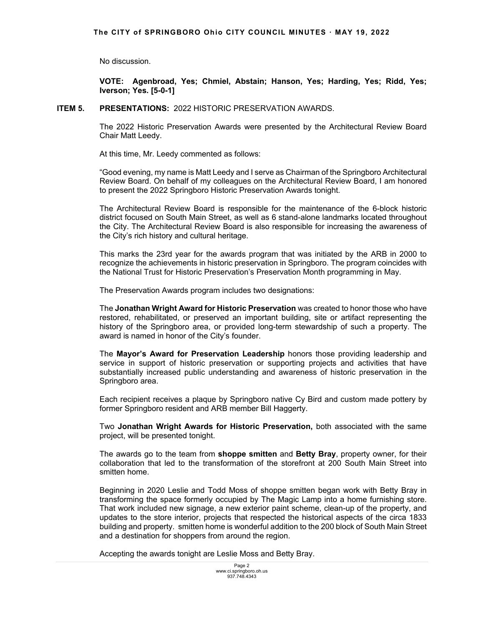No discussion.

 **VOTE: Agenbroad, Yes; Chmiel, Abstain; Hanson, Yes; Harding, Yes; Ridd, Yes; Iverson; Yes. [5-0-1]** 

### **ITEM 5. PRESENTATIONS:** 2022 HISTORIC PRESERVATION AWARDS.

 The 2022 Historic Preservation Awards were presented by the Architectural Review Board Chair Matt Leedy.

At this time, Mr. Leedy commented as follows:

"Good evening, my name is Matt Leedy and I serve as Chairman of the Springboro Architectural Review Board. On behalf of my colleagues on the Architectural Review Board, I am honored to present the 2022 Springboro Historic Preservation Awards tonight.

The Architectural Review Board is responsible for the maintenance of the 6-block historic district focused on South Main Street, as well as 6 stand-alone landmarks located throughout the City. The Architectural Review Board is also responsible for increasing the awareness of the City's rich history and cultural heritage.

This marks the 23rd year for the awards program that was initiated by the ARB in 2000 to recognize the achievements in historic preservation in Springboro. The program coincides with the National Trust for Historic Preservation's Preservation Month programming in May.

The Preservation Awards program includes two designations:

The **Jonathan Wright Award for Historic Preservation** was created to honor those who have restored, rehabilitated, or preserved an important building, site or artifact representing the history of the Springboro area, or provided long-term stewardship of such a property. The award is named in honor of the City's founder.

The **Mayor's Award for Preservation Leadership** honors those providing leadership and service in support of historic preservation or supporting projects and activities that have substantially increased public understanding and awareness of historic preservation in the Springboro area.

Each recipient receives a plaque by Springboro native Cy Bird and custom made pottery by former Springboro resident and ARB member Bill Haggerty.

Two **Jonathan Wright Awards for Historic Preservation,** both associated with the same project, will be presented tonight.

The awards go to the team from **shoppe smitten** and **Betty Bray**, property owner, for their collaboration that led to the transformation of the storefront at 200 South Main Street into smitten home.

Beginning in 2020 Leslie and Todd Moss of shoppe smitten began work with Betty Bray in transforming the space formerly occupied by The Magic Lamp into a home furnishing store. That work included new signage, a new exterior paint scheme, clean-up of the property, and updates to the store interior, projects that respected the historical aspects of the circa 1833 building and property. smitten home is wonderful addition to the 200 block of South Main Street and a destination for shoppers from around the region.

Accepting the awards tonight are Leslie Moss and Betty Bray.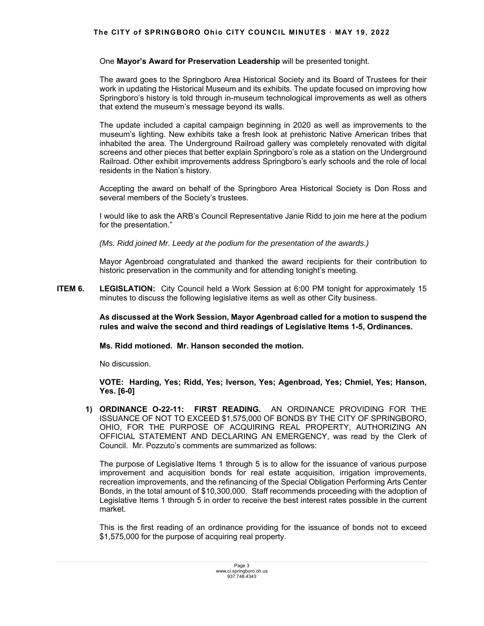## **The CITY of SPRINGBORO Ohio CITY COUNCIL MINUTES ꞏ MAY 19, 2022**

One **Mayor's Award for Preservation Leadership** will be presented tonight.

The award goes to the Springboro Area Historical Society and its Board of Trustees for their work in updating the Historical Museum and its exhibits. The update focused on improving how Springboro's history is told through in-museum technological improvements as well as others that extend the museum's message beyond its walls.

The update included a capital campaign beginning in 2020 as well as improvements to the museum's lighting. New exhibits take a fresh look at prehistoric Native American tribes that inhabited the area. The Underground Railroad gallery was completely renovated with digital screens and other pieces that better explain Springboro's role as a station on the Underground Railroad. Other exhibit improvements address Springboro's early schools and the role of local residents in the Nation's history.

Accepting the award on behalf of the Springboro Area Historical Society is Don Ross and several members of the Society's trustees.

I would like to ask the ARB's Council Representative Janie Ridd to join me here at the podium for the presentation."

*(Ms. Ridd joined Mr. Leedy at the podium for the presentation of the awards.)* 

Mayor Agenbroad congratulated and thanked the award recipients for their contribution to historic preservation in the community and for attending tonight's meeting.

**ITEM 6.** LEGISLATION: City Council held a Work Session at 6:00 PM tonight for approximately 15 minutes to discuss the following legislative items as well as other City business.

> **As discussed at the Work Session, Mayor Agenbroad called for a motion to suspend the rules and waive the second and third readings of Legislative Items 1-5, Ordinances.**

 **Ms. Ridd motioned. Mr. Hanson seconded the motion.** 

No discussion.

 **VOTE: Harding, Yes; Ridd, Yes; Iverson, Yes; Agenbroad, Yes; Chmiel, Yes; Hanson, Yes. [6-0]** 

**1) ORDINANCE O-22-11: FIRST READING.** AN ORDINANCE PROVIDING FOR THE ISSUANCE OF NOT TO EXCEED \$1,575,000 OF BONDS BY THE CITY OF SPRINGBORO, OHIO, FOR THE PURPOSE OF ACQUIRING REAL PROPERTY, AUTHORIZING AN OFFICIAL STATEMENT AND DECLARING AN EMERGENCY, was read by the Clerk of Council. Mr. Pozzuto's comments are summarized as follows:

 The purpose of Legislative Items 1 through 5 is to allow for the issuance of various purpose improvement and acquisition bonds for real estate acquisition, irrigation improvements, recreation improvements, and the refinancing of the Special Obligation Performing Arts Center Bonds, in the total amount of \$10,300,000. Staff recommends proceeding with the adoption of Legislative Items 1 through 5 in order to receive the best interest rates possible in the current market.

 This is the first reading of an ordinance providing for the issuance of bonds not to exceed \$1,575,000 for the purpose of acquiring real property.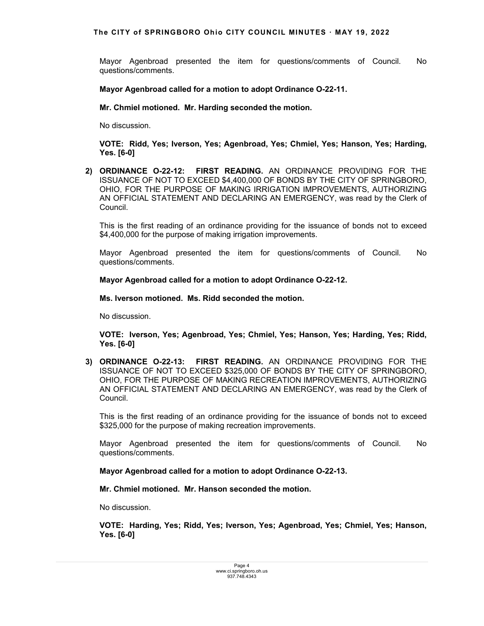Mayor Agenbroad presented the item for questions/comments of Council. No questions/comments.

**Mayor Agenbroad called for a motion to adopt Ordinance O-22-11.**

 **Mr. Chmiel motioned. Mr. Harding seconded the motion.** 

No discussion.

**VOTE: Ridd, Yes; Iverson, Yes; Agenbroad, Yes; Chmiel, Yes; Hanson, Yes; Harding, Yes. [6-0]** 

**2) ORDINANCE O-22-12: FIRST READING.** AN ORDINANCE PROVIDING FOR THE ISSUANCE OF NOT TO EXCEED \$4,400,000 OF BONDS BY THE CITY OF SPRINGBORO, OHIO, FOR THE PURPOSE OF MAKING IRRIGATION IMPROVEMENTS, AUTHORIZING AN OFFICIAL STATEMENT AND DECLARING AN EMERGENCY, was read by the Clerk of Council.

 This is the first reading of an ordinance providing for the issuance of bonds not to exceed \$4,400,000 for the purpose of making irrigation improvements.

Mayor Agenbroad presented the item for questions/comments of Council. No questions/comments.

**Mayor Agenbroad called for a motion to adopt Ordinance O-22-12.**

 **Ms. Iverson motioned. Ms. Ridd seconded the motion.** 

No discussion.

**VOTE: Iverson, Yes; Agenbroad, Yes; Chmiel, Yes; Hanson, Yes; Harding, Yes; Ridd, Yes. [6-0]**

**3) ORDINANCE O-22-13: FIRST READING.** AN ORDINANCE PROVIDING FOR THE ISSUANCE OF NOT TO EXCEED \$325,000 OF BONDS BY THE CITY OF SPRINGBORO, OHIO, FOR THE PURPOSE OF MAKING RECREATION IMPROVEMENTS, AUTHORIZING AN OFFICIAL STATEMENT AND DECLARING AN EMERGENCY, was read by the Clerk of Council.

 This is the first reading of an ordinance providing for the issuance of bonds not to exceed \$325,000 for the purpose of making recreation improvements.

Mayor Agenbroad presented the item for questions/comments of Council. No questions/comments.

**Mayor Agenbroad called for a motion to adopt Ordinance O-22-13.**

 **Mr. Chmiel motioned. Mr. Hanson seconded the motion.** 

No discussion.

**VOTE: Harding, Yes; Ridd, Yes; Iverson, Yes; Agenbroad, Yes; Chmiel, Yes; Hanson, Yes. [6-0]**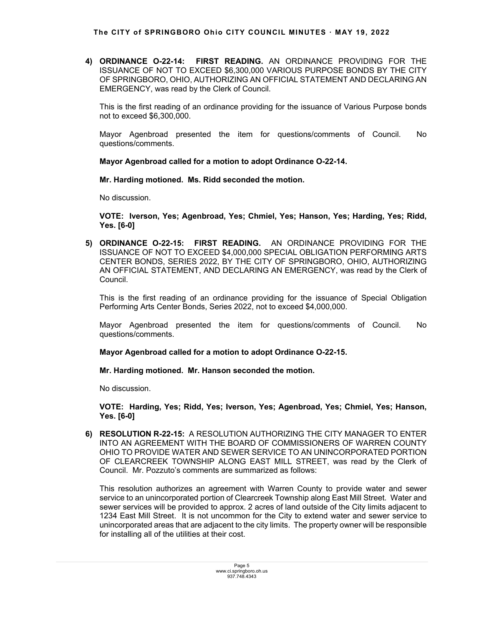**4) ORDINANCE O-22-14: FIRST READING.** AN ORDINANCE PROVIDING FOR THE ISSUANCE OF NOT TO EXCEED \$6,300,000 VARIOUS PURPOSE BONDS BY THE CITY OF SPRINGBORO, OHIO, AUTHORIZING AN OFFICIAL STATEMENT AND DECLARING AN EMERGENCY, was read by the Clerk of Council.

 This is the first reading of an ordinance providing for the issuance of Various Purpose bonds not to exceed \$6,300,000.

Mayor Agenbroad presented the item for questions/comments of Council. No questions/comments.

**Mayor Agenbroad called for a motion to adopt Ordinance O-22-14.**

 **Mr. Harding motioned. Ms. Ridd seconded the motion.** 

No discussion.

**VOTE: Iverson, Yes; Agenbroad, Yes; Chmiel, Yes; Hanson, Yes; Harding, Yes; Ridd, Yes. [6-0]**

**5) ORDINANCE O-22-15: FIRST READING.** AN ORDINANCE PROVIDING FOR THE ISSUANCE OF NOT TO EXCEED \$4,000,000 SPECIAL OBLIGATION PERFORMING ARTS CENTER BONDS, SERIES 2022, BY THE CITY OF SPRINGBORO, OHIO, AUTHORIZING AN OFFICIAL STATEMENT, AND DECLARING AN EMERGENCY, was read by the Clerk of Council.

 This is the first reading of an ordinance providing for the issuance of Special Obligation Performing Arts Center Bonds, Series 2022, not to exceed \$4,000,000.

Mayor Agenbroad presented the item for questions/comments of Council. No questions/comments.

**Mayor Agenbroad called for a motion to adopt Ordinance O-22-15.**

 **Mr. Harding motioned. Mr. Hanson seconded the motion.** 

No discussion.

**VOTE: Harding, Yes; Ridd, Yes; Iverson, Yes; Agenbroad, Yes; Chmiel, Yes; Hanson, Yes. [6-0]**

**6) RESOLUTION R-22-15:** A RESOLUTION AUTHORIZING THE CITY MANAGER TO ENTER INTO AN AGREEMENT WITH THE BOARD OF COMMISSIONERS OF WARREN COUNTY OHIO TO PROVIDE WATER AND SEWER SERVICE TO AN UNINCORPORATED PORTION OF CLEARCREEK TOWNSHIP ALONG EAST MILL STREET, was read by the Clerk of Council. Mr. Pozzuto's comments are summarized as follows:

This resolution authorizes an agreement with Warren County to provide water and sewer service to an unincorporated portion of Clearcreek Township along East Mill Street. Water and sewer services will be provided to approx. 2 acres of land outside of the City limits adjacent to 1234 East Mill Street. It is not uncommon for the City to extend water and sewer service to unincorporated areas that are adjacent to the city limits. The property owner will be responsible for installing all of the utilities at their cost.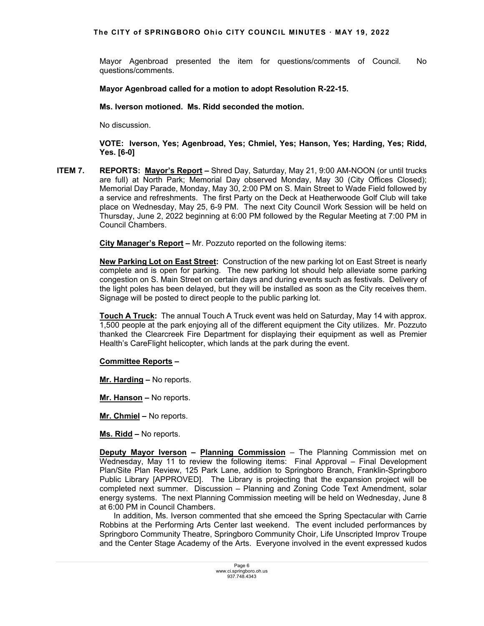Mayor Agenbroad presented the item for questions/comments of Council. No questions/comments.

## **Mayor Agenbroad called for a motion to adopt Resolution R-22-15.**

 **Ms. Iverson motioned. Ms. Ridd seconded the motion.** 

No discussion.

 **VOTE: Iverson, Yes; Agenbroad, Yes; Chmiel, Yes; Hanson, Yes; Harding, Yes; Ridd, Yes. [6-0]**

**ITEM 7. REPORTS: Mayor's Report –** Shred Day, Saturday, May 21, 9:00 AM-NOON (or until trucks are full) at North Park; Memorial Day observed Monday, May 30 (City Offices Closed); Memorial Day Parade, Monday, May 30, 2:00 PM on S. Main Street to Wade Field followed by a service and refreshments.The first Party on the Deck at Heatherwoode Golf Club will take place on Wednesday, May 25, 6-9 PM.The next City Council Work Session will be held on Thursday, June 2, 2022 beginning at 6:00 PM followed by the Regular Meeting at 7:00 PM in Council Chambers.

 **City Manager's Report –** Mr. Pozzuto reported on the following items:

**New Parking Lot on East Street:** Construction of the new parking lot on East Street is nearly complete and is open for parking. The new parking lot should help alleviate some parking congestion on S. Main Street on certain days and during events such as festivals. Delivery of the light poles has been delayed, but they will be installed as soon as the City receives them. Signage will be posted to direct people to the public parking lot.

**Touch A Truck:** The annual Touch A Truck event was held on Saturday, May 14 with approx. 1,500 people at the park enjoying all of the different equipment the City utilizes. Mr. Pozzuto thanked the Clearcreek Fire Department for displaying their equipment as well as Premier Health's CareFlight helicopter, which lands at the park during the event.

### **Committee Reports –**

**Mr. Harding –** No reports.

**Mr. Hanson –** No reports.

**Mr. Chmiel –** No reports.

**Ms. Ridd –** No reports.

**Deputy Mayor Iverson – Planning Commission** – The Planning Commission met on Wednesday, May 11 to review the following items: Final Approval – Final Development Plan/Site Plan Review, 125 Park Lane, addition to Springboro Branch, Franklin-Springboro Public Library [APPROVED]. The Library is projecting that the expansion project will be completed next summer. Discussion – Planning and Zoning Code Text Amendment, solar energy systems. The next Planning Commission meeting will be held on Wednesday, June 8 at 6:00 PM in Council Chambers.

 In addition, Ms. Iverson commented that she emceed the Spring Spectacular with Carrie Robbins at the Performing Arts Center last weekend. The event included performances by Springboro Community Theatre, Springboro Community Choir, Life Unscripted Improv Troupe and the Center Stage Academy of the Arts. Everyone involved in the event expressed kudos